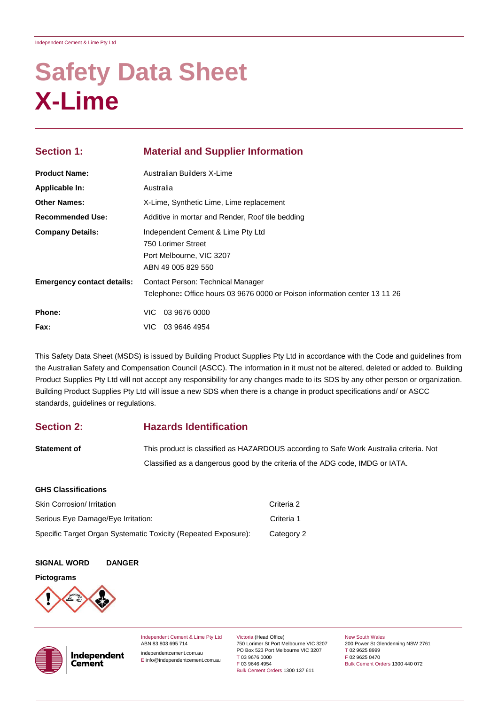# **Safety Data Sheet X-Lime**

| <b>Section 1:</b>                 | <b>Material and Supplier Information</b><br>Australian Builders X-Lime                                          |  |  |
|-----------------------------------|-----------------------------------------------------------------------------------------------------------------|--|--|
| <b>Product Name:</b>              |                                                                                                                 |  |  |
| Applicable In:                    | Australia                                                                                                       |  |  |
| <b>Other Names:</b>               | X-Lime, Synthetic Lime, Lime replacement                                                                        |  |  |
| <b>Recommended Use:</b>           | Additive in mortar and Render, Roof tile bedding                                                                |  |  |
| <b>Company Details:</b>           | Independent Cement & Lime Pty Ltd<br>750 Lorimer Street                                                         |  |  |
|                                   | Port Melbourne, VIC 3207<br>ABN 49 005 829 550                                                                  |  |  |
| <b>Emergency contact details:</b> | Contact Person: Technical Manager<br>Telephone: Office hours 03 9676 0000 or Poison information center 13 11 26 |  |  |
| <b>Phone:</b>                     | VIC 03 9676 0000                                                                                                |  |  |
| <b>Fax:</b>                       | VIC 03 9646 4954                                                                                                |  |  |

This Safety Data Sheet (MSDS) is issued by Building Product Supplies Pty Ltd in accordance with the Code and guidelines from the Australian Safety and Compensation Council (ASCC). The information in it must not be altered, deleted or added to. Building Product Supplies Pty Ltd will not accept any responsibility for any changes made to its SDS by any other person or organization. Building Product Supplies Pty Ltd will issue a new SDS when there is a change in product specifications and/ or ASCC standards, guidelines or regulations.

### **Section 2: Hazards Identification**

| <b>Statement of</b> | This product is classified as HAZARDOUS according to Safe Work Australia criteria. Not |
|---------------------|----------------------------------------------------------------------------------------|
|                     | Classified as a dangerous good by the criteria of the ADG code, IMDG or IATA.          |

#### **GHS Classifications**

| <b>Skin Corrosion/ Irritation</b>                              | Criteria 2 |
|----------------------------------------------------------------|------------|
| Serious Eye Damage/Eye Irritation:                             | Criteria 1 |
| Specific Target Organ Systematic Toxicity (Repeated Exposure): | Category 2 |

#### **SIGNAL WORD DANGER**

Independent **Cement** 

#### **Pictograms**





Independent Cement & Lime Pty Ltd ABN 83 803 695 714

independentcement.com.au E info@independentcement.com.au Victoria (Head Office) 750 Lorimer St Port Melbourne VIC 3207 PO Box 523 Port Melbourne VIC 3207 T 03 9676 0000 F 03 9646 4954 Bulk Cement Orders 1300 137 611

New South Wales 200 Power St Glendenning NSW 2761 T 02 9625 8999 F 02 9625 0470 Bulk Cement Orders 1300 440 072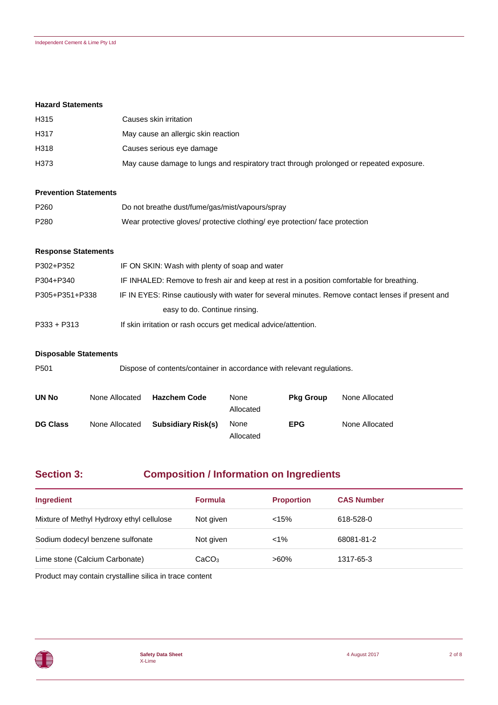#### **Hazard Statements**

| H315 | Causes skin irritation                                                                  |
|------|-----------------------------------------------------------------------------------------|
| H317 | May cause an allergic skin reaction                                                     |
| H318 | Causes serious eye damage                                                               |
| H373 | May cause damage to lungs and respiratory tract through prolonged or repeated exposure. |

#### **Prevention Statements**

| P <sub>260</sub> | Do not breathe dust/fume/gas/mist/vapours/spray                              |
|------------------|------------------------------------------------------------------------------|
| P <sub>280</sub> | Wear protective gloves/ protective clothing/ eye protection/ face protection |

#### **Response Statements**

| P302+P352      | IF ON SKIN: Wash with plenty of soap and water                                                    |
|----------------|---------------------------------------------------------------------------------------------------|
| P304+P340      | IF INHALED: Remove to fresh air and keep at rest in a position comfortable for breathing.         |
| P305+P351+P338 | IF IN EYES: Rinse cautiously with water for several minutes. Remove contact lenses if present and |
|                | easy to do. Continue rinsing.                                                                     |
| $P333 + P313$  | If skin irritation or rash occurs get medical advice/attention.                                   |

#### **Disposable Statements**

| P <sub>501</sub> | Dispose of contents/container in accordance with relevant regulations. |                           |                   |                  |                |
|------------------|------------------------------------------------------------------------|---------------------------|-------------------|------------------|----------------|
| <b>UN No</b>     | None Allocated                                                         | <b>Hazchem Code</b>       | None<br>Allocated | <b>Pkg Group</b> | None Allocated |
| <b>DG Class</b>  | None Allocated                                                         | <b>Subsidiary Risk(s)</b> | None<br>Allocated | <b>EPG</b>       | None Allocated |

# **Section 3: Composition / Information on Ingredients**

| Ingredient                                | <b>Formula</b>    | <b>Proportion</b> | <b>CAS Number</b> |
|-------------------------------------------|-------------------|-------------------|-------------------|
| Mixture of Methyl Hydroxy ethyl cellulose | Not given         | < 15%             | 618-528-0         |
| Sodium dodecyl benzene sulfonate          | Not given         | $< 1\%$           | 68081-81-2        |
| Lime stone (Calcium Carbonate)            | CaCO <sub>3</sub> | $>60\%$           | 1317-65-3         |

Product may contain crystalline silica in trace content

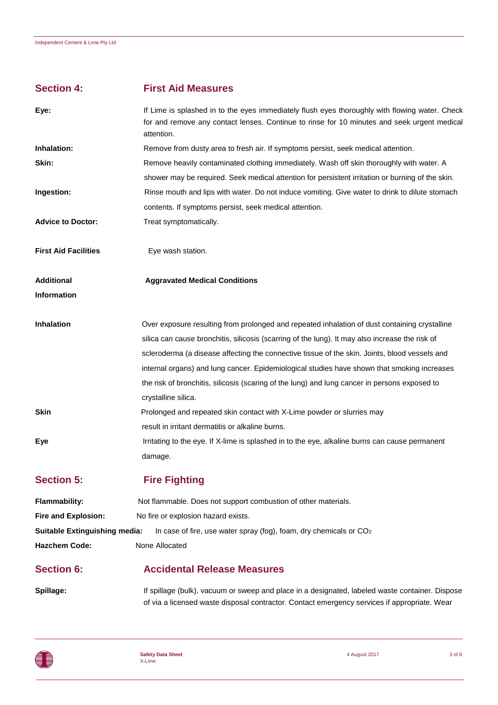# **Section 4: First Aid Measures**

| Eye:                          | If Lime is splashed in to the eyes immediately flush eyes thoroughly with flowing water. Check<br>for and remove any contact lenses. Continue to rinse for 10 minutes and seek urgent medical<br>attention. |
|-------------------------------|-------------------------------------------------------------------------------------------------------------------------------------------------------------------------------------------------------------|
| Inhalation:                   | Remove from dusty area to fresh air. If symptoms persist, seek medical attention.                                                                                                                           |
| Skin:                         | Remove heavily contaminated clothing immediately. Wash off skin thoroughly with water. A                                                                                                                    |
|                               | shower may be required. Seek medical attention for persistent irritation or burning of the skin.                                                                                                            |
| Ingestion:                    | Rinse mouth and lips with water. Do not induce vomiting. Give water to drink to dilute stomach                                                                                                              |
|                               | contents. If symptoms persist, seek medical attention.                                                                                                                                                      |
| <b>Advice to Doctor:</b>      | Treat symptomatically.                                                                                                                                                                                      |
| <b>First Aid Facilities</b>   | Eye wash station.                                                                                                                                                                                           |
| <b>Additional</b>             | <b>Aggravated Medical Conditions</b>                                                                                                                                                                        |
| <b>Information</b>            |                                                                                                                                                                                                             |
| <b>Inhalation</b>             | Over exposure resulting from prolonged and repeated inhalation of dust containing crystalline                                                                                                               |
|                               | silica can cause bronchitis, silicosis (scarring of the lung). It may also increase the risk of                                                                                                             |
|                               | scleroderma (a disease affecting the connective tissue of the skin. Joints, blood vessels and                                                                                                               |
|                               | internal organs) and lung cancer. Epidemiological studies have shown that smoking increases                                                                                                                 |
|                               | the risk of bronchitis, silicosis (scaring of the lung) and lung cancer in persons exposed to                                                                                                               |
|                               | crystalline silica.                                                                                                                                                                                         |
| Skin                          | Prolonged and repeated skin contact with X-Lime powder or slurries may                                                                                                                                      |
|                               | result in irritant dermatitis or alkaline burns.                                                                                                                                                            |
| Eye                           | Irritating to the eye. If X-lime is splashed in to the eye, alkaline burns can cause permanent                                                                                                              |
|                               | damage.                                                                                                                                                                                                     |
| <b>Section 5:</b>             | <b>Fire Fighting</b>                                                                                                                                                                                        |
| <b>Flammability:</b>          | Not flammable. Does not support combustion of other materials.                                                                                                                                              |
| <b>Fire and Explosion:</b>    | No fire or explosion hazard exists.                                                                                                                                                                         |
| Suitable Extinguishing media: | In case of fire, use water spray (fog), foam, dry chemicals or CO <sub>2</sub>                                                                                                                              |

**Hazchem Code:** None Allocated

# **Section 6: Accidental Release Measures**

Spillage: If spillage (bulk), vacuum or sweep and place in a designated, labeled waste container. Dispose of via a licensed waste disposal contractor. Contact emergency services if appropriate. Wear



4 August 2017 3 of 8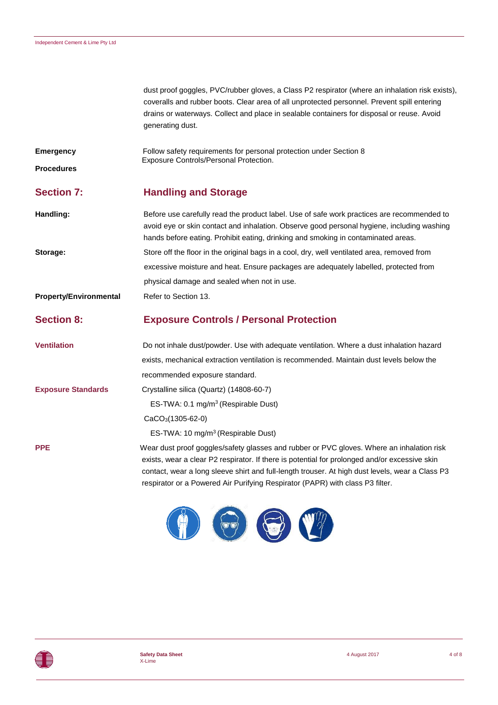dust proof goggles, PVC/rubber gloves, a Class P2 respirator (where an inhalation risk exists), coveralls and rubber boots. Clear area of all unprotected personnel. Prevent spill entering drains or waterways. Collect and place in sealable containers for disposal or reuse. Avoid generating dust.

**Emergency Follow safety requirements for personal protection under Section 8** Exposure Controls/Personal Protection.

**Procedures**

# **Section 7: Handling and Storage**

**Handling:** Before use carefully read the product label. Use of safe work practices are recommended to avoid eye or skin contact and inhalation. Observe good personal hygiene, including washing hands before eating. Prohibit eating, drinking and smoking in contaminated areas. **Storage:** Store off the floor in the original bags in a cool, dry, well ventilated area, removed from excessive moisture and heat. Ensure packages are adequately labelled, protected from physical damage and sealed when not in use. **Property/Environmental** Refer to Section 13.

#### **Section 8: Exposure Controls / Personal Protection**

**Ventilation** Do not inhale dust/powder. Use with adequate ventilation. Where a dust inhalation hazard exists, mechanical extraction ventilation is recommended. Maintain dust levels below the recommended exposure standard. **Exposure Standards** Crystalline silica (Quartz) (14808-60-7) ES-TWA: 0.1 mg/m<sup>3</sup> (Respirable Dust) CaCO3(1305-62-0) ES-TWA: 10 mg/m<sup>3</sup>(Respirable Dust) **PPE** Wear dust proof goggles/safety glasses and rubber or PVC gloves. Where an inhalation risk

exists, wear a clear P2 respirator. If there is potential for prolonged and/or excessive skin contact, wear a long sleeve shirt and full-length trouser. At high dust levels, wear a Class P3 respirator or a Powered Air Purifying Respirator (PAPR) with class P3 filter.

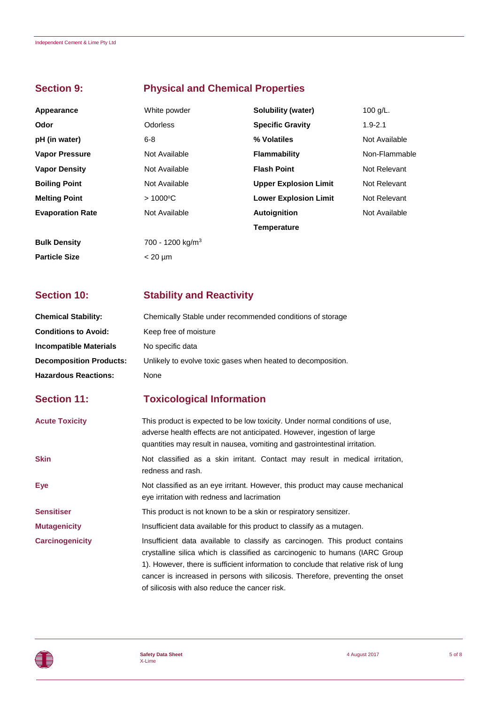# **Section 9: Physical and Chemical Properties**

| Appearance              | White powder                 | Solubility (water)           | 100 $g/L$ .   |
|-------------------------|------------------------------|------------------------------|---------------|
| Odor                    | <b>Odorless</b>              | <b>Specific Gravity</b>      | $1.9 - 2.1$   |
| pH (in water)           | $6 - 8$                      | % Volatiles                  | Not Available |
| <b>Vapor Pressure</b>   | Not Available                | <b>Flammability</b>          | Non-Flammable |
| <b>Vapor Density</b>    | Not Available                | <b>Flash Point</b>           | Not Relevant  |
| <b>Boiling Point</b>    | Not Available                | <b>Upper Explosion Limit</b> | Not Relevant  |
| <b>Melting Point</b>    | $>1000^{\circ}$ C            | <b>Lower Explosion Limit</b> | Not Relevant  |
| <b>Evaporation Rate</b> | Not Available                | <b>Autoignition</b>          | Not Available |
|                         |                              | <b>Temperature</b>           |               |
| <b>Bulk Density</b>     | 700 - 1200 kg/m <sup>3</sup> |                              |               |
| <b>Particle Size</b>    | $< 20 \mu m$                 |                              |               |

# **Section 10: Stability and Reactivity**

| <b>Chemical Stability:</b>     | Chemically Stable under recommended conditions of storage                                                                                                                                                                                                                                                                                                                               |
|--------------------------------|-----------------------------------------------------------------------------------------------------------------------------------------------------------------------------------------------------------------------------------------------------------------------------------------------------------------------------------------------------------------------------------------|
| <b>Conditions to Avoid:</b>    | Keep free of moisture                                                                                                                                                                                                                                                                                                                                                                   |
| <b>Incompatible Materials</b>  | No specific data                                                                                                                                                                                                                                                                                                                                                                        |
| <b>Decomposition Products:</b> | Unlikely to evolve toxic gases when heated to decomposition.                                                                                                                                                                                                                                                                                                                            |
| <b>Hazardous Reactions:</b>    | None                                                                                                                                                                                                                                                                                                                                                                                    |
| <b>Section 11:</b>             | <b>Toxicological Information</b>                                                                                                                                                                                                                                                                                                                                                        |
| <b>Acute Toxicity</b>          | This product is expected to be low toxicity. Under normal conditions of use,<br>adverse health effects are not anticipated. However, ingestion of large<br>quantities may result in nausea, vomiting and gastrointestinal irritation.                                                                                                                                                   |
| <b>Skin</b>                    | Not classified as a skin irritant. Contact may result in medical irritation,<br>redness and rash.                                                                                                                                                                                                                                                                                       |
| Eye                            | Not classified as an eye irritant. However, this product may cause mechanical<br>eye irritation with redness and lacrimation                                                                                                                                                                                                                                                            |
| <b>Sensitiser</b>              | This product is not known to be a skin or respiratory sensitizer.                                                                                                                                                                                                                                                                                                                       |
| <b>Mutagenicity</b>            | Insufficient data available for this product to classify as a mutagen.                                                                                                                                                                                                                                                                                                                  |
| <b>Carcinogenicity</b>         | Insufficient data available to classify as carcinogen. This product contains<br>crystalline silica which is classified as carcinogenic to humans (IARC Group<br>1). However, there is sufficient information to conclude that relative risk of lung<br>cancer is increased in persons with silicosis. Therefore, preventing the onset<br>of silicosis with also reduce the cancer risk. |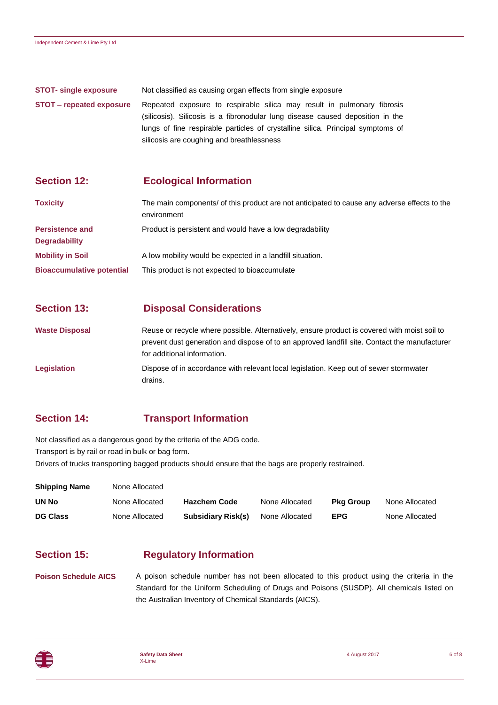| <b>STOT-</b> single exposure | Not classified as causing organ effects from single exposure                                                                                                                                                                                                                              |
|------------------------------|-------------------------------------------------------------------------------------------------------------------------------------------------------------------------------------------------------------------------------------------------------------------------------------------|
| STOT – repeated exposure     | Repeated exposure to respirable silica may result in pulmonary fibrosis<br>(silicosis). Silicosis is a fibronodular lung disease caused deposition in the<br>lungs of fine respirable particles of crystalline silica. Principal symptoms of<br>silicosis are coughing and breathlessness |

### **Section 12: Ecological Information**

| <b>Toxicity</b>                                | The main components/ of this product are not anticipated to cause any adverse effects to the<br>environment |
|------------------------------------------------|-------------------------------------------------------------------------------------------------------------|
| <b>Persistence and</b><br><b>Degradability</b> | Product is persistent and would have a low degradability                                                    |
| <b>Mobility in Soil</b>                        | A low mobility would be expected in a landfill situation.                                                   |
| <b>Bioaccumulative potential</b>               | This product is not expected to bioaccumulate                                                               |

## **Section 13: Disposal Considerations**

**Waste Disposal** Reuse or recycle where possible. Alternatively, ensure product is covered with moist soil to prevent dust generation and dispose of to an approved landfill site. Contact the manufacturer for additional information. **Legislation** Dispose of in accordance with relevant local legislation. Keep out of sewer stormwater

# **Section 14: Transport Information**

drains.

Not classified as a dangerous good by the criteria of the ADG code. Transport is by rail or road in bulk or bag form.

Drivers of trucks transporting bagged products should ensure that the bags are properly restrained.

| <b>Shipping Name</b> | None Allocated |                           |                |                  |                |
|----------------------|----------------|---------------------------|----------------|------------------|----------------|
| UN No                | None Allocated | <b>Hazchem Code</b>       | None Allocated | <b>Pka Group</b> | None Allocated |
| <b>DG Class</b>      | None Allocated | <b>Subsidiary Risk(s)</b> | None Allocated | <b>EPG</b>       | None Allocated |

### **Section 15: Regulatory Information**

**Poison Schedule AICS** A poison schedule number has not been allocated to this product using the criteria in the Standard for the Uniform Scheduling of Drugs and Poisons (SUSDP). All chemicals listed on the Australian Inventory of Chemical Standards (AICS).

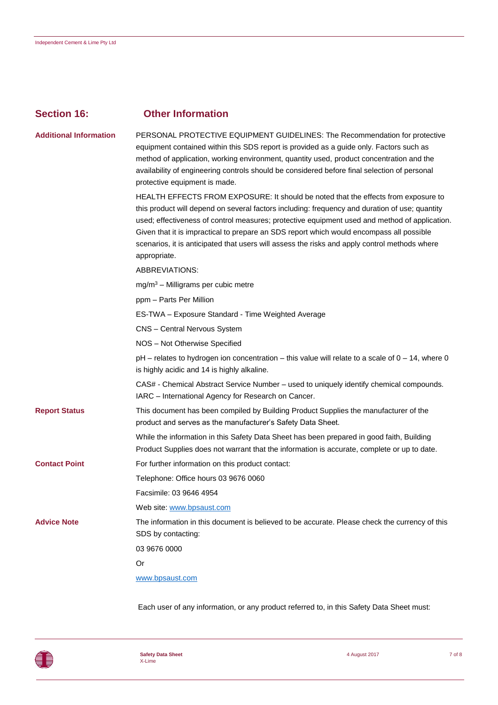| <b>Section 16:</b>            | <b>Other Information</b>                                                                                                                                                                                                                                                                                                                                                                                                                                                                           |
|-------------------------------|----------------------------------------------------------------------------------------------------------------------------------------------------------------------------------------------------------------------------------------------------------------------------------------------------------------------------------------------------------------------------------------------------------------------------------------------------------------------------------------------------|
| <b>Additional Information</b> | PERSONAL PROTECTIVE EQUIPMENT GUIDELINES: The Recommendation for protective<br>equipment contained within this SDS report is provided as a guide only. Factors such as<br>method of application, working environment, quantity used, product concentration and the<br>availability of engineering controls should be considered before final selection of personal<br>protective equipment is made.                                                                                                |
|                               | HEALTH EFFECTS FROM EXPOSURE: It should be noted that the effects from exposure to<br>this product will depend on several factors including: frequency and duration of use; quantity<br>used; effectiveness of control measures; protective equipment used and method of application.<br>Given that it is impractical to prepare an SDS report which would encompass all possible<br>scenarios, it is anticipated that users will assess the risks and apply control methods where<br>appropriate. |
|                               | ABBREVIATIONS:                                                                                                                                                                                                                                                                                                                                                                                                                                                                                     |
|                               | $mg/m3 - Milligrams per cubic metre$                                                                                                                                                                                                                                                                                                                                                                                                                                                               |
|                               | ppm - Parts Per Million                                                                                                                                                                                                                                                                                                                                                                                                                                                                            |
|                               | ES-TWA - Exposure Standard - Time Weighted Average                                                                                                                                                                                                                                                                                                                                                                                                                                                 |
|                               | CNS - Central Nervous System                                                                                                                                                                                                                                                                                                                                                                                                                                                                       |
|                               | NOS - Not Otherwise Specified                                                                                                                                                                                                                                                                                                                                                                                                                                                                      |
|                               | pH - relates to hydrogen ion concentration - this value will relate to a scale of 0 - 14, where 0<br>is highly acidic and 14 is highly alkaline.                                                                                                                                                                                                                                                                                                                                                   |
|                               | CAS# - Chemical Abstract Service Number - used to uniquely identify chemical compounds.<br>IARC - International Agency for Research on Cancer.                                                                                                                                                                                                                                                                                                                                                     |
| <b>Report Status</b>          | This document has been compiled by Building Product Supplies the manufacturer of the<br>product and serves as the manufacturer's Safety Data Sheet.                                                                                                                                                                                                                                                                                                                                                |
|                               | While the information in this Safety Data Sheet has been prepared in good faith, Building<br>Product Supplies does not warrant that the information is accurate, complete or up to date.                                                                                                                                                                                                                                                                                                           |
| <b>Contact Point</b>          | For further information on this product contact:                                                                                                                                                                                                                                                                                                                                                                                                                                                   |
|                               | Telephone: Office hours 03 9676 0060                                                                                                                                                                                                                                                                                                                                                                                                                                                               |
|                               | Facsimile: 03 9646 4954                                                                                                                                                                                                                                                                                                                                                                                                                                                                            |
|                               | Web site: www.bpsaust.com                                                                                                                                                                                                                                                                                                                                                                                                                                                                          |
| <b>Advice Note</b>            | The information in this document is believed to be accurate. Please check the currency of this<br>SDS by contacting:                                                                                                                                                                                                                                                                                                                                                                               |
|                               | 03 9676 0000                                                                                                                                                                                                                                                                                                                                                                                                                                                                                       |
|                               | Or                                                                                                                                                                                                                                                                                                                                                                                                                                                                                                 |
|                               | www.bpsaust.com                                                                                                                                                                                                                                                                                                                                                                                                                                                                                    |
|                               |                                                                                                                                                                                                                                                                                                                                                                                                                                                                                                    |

Each user of any information, or any product referred to, in this Safety Data Sheet must: